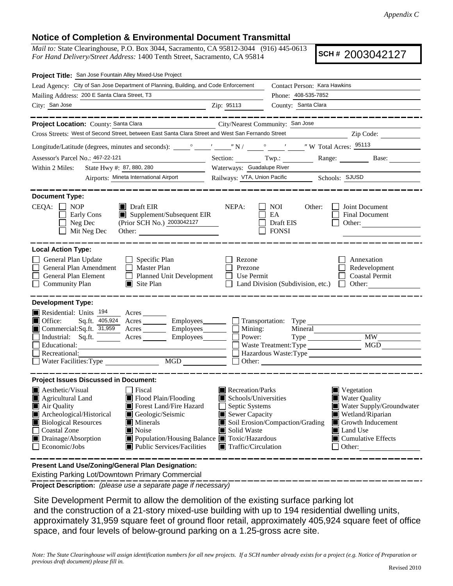## **Notice of Completion & Environmental Document Transmittal**

*Mail to:* State Clearinghouse, P.O. Box 3044, Sacramento, CA 95812-3044 (916) 445-0613 *For Hand Delivery/Street Address:* 1400 Tenth Street, Sacramento, CA 95814

**SCH #** 2003042127

| Project Title: San Jose Fountain Alley Mixed-Use Project                                                                                                                                                                                                                                                                                                                              |                                                                                                                                                                                     |                                                                                                                                                                                                                                                                    |                                                                                                                                                                   |  |  |  |  |
|---------------------------------------------------------------------------------------------------------------------------------------------------------------------------------------------------------------------------------------------------------------------------------------------------------------------------------------------------------------------------------------|-------------------------------------------------------------------------------------------------------------------------------------------------------------------------------------|--------------------------------------------------------------------------------------------------------------------------------------------------------------------------------------------------------------------------------------------------------------------|-------------------------------------------------------------------------------------------------------------------------------------------------------------------|--|--|--|--|
| Lead Agency: City of San Jose Department of Planning, Building, and Code Enforcement                                                                                                                                                                                                                                                                                                  | Contact Person: Kara Hawkins                                                                                                                                                        |                                                                                                                                                                                                                                                                    |                                                                                                                                                                   |  |  |  |  |
| Mailing Address: 200 E Santa Clara Street, T3                                                                                                                                                                                                                                                                                                                                         |                                                                                                                                                                                     | Phone: 408-535-7852                                                                                                                                                                                                                                                |                                                                                                                                                                   |  |  |  |  |
| City: San Jose                                                                                                                                                                                                                                                                                                                                                                        | Zip: 95113                                                                                                                                                                          | County: Santa Clara                                                                                                                                                                                                                                                |                                                                                                                                                                   |  |  |  |  |
| ________                                                                                                                                                                                                                                                                                                                                                                              |                                                                                                                                                                                     |                                                                                                                                                                                                                                                                    |                                                                                                                                                                   |  |  |  |  |
| Project Location: County: Santa Clara<br>City/Nearest Community: San Jose                                                                                                                                                                                                                                                                                                             |                                                                                                                                                                                     |                                                                                                                                                                                                                                                                    |                                                                                                                                                                   |  |  |  |  |
| Cross Streets: West of Second Street, between East Santa Clara Street and West San Fernando Street                                                                                                                                                                                                                                                                                    |                                                                                                                                                                                     |                                                                                                                                                                                                                                                                    | Zip Code:                                                                                                                                                         |  |  |  |  |
|                                                                                                                                                                                                                                                                                                                                                                                       |                                                                                                                                                                                     |                                                                                                                                                                                                                                                                    |                                                                                                                                                                   |  |  |  |  |
| Assessor's Parcel No.: 467-22-121                                                                                                                                                                                                                                                                                                                                                     |                                                                                                                                                                                     | Section: Twp.: Range: Base:                                                                                                                                                                                                                                        |                                                                                                                                                                   |  |  |  |  |
| State Hwy #: 87, 880, 280<br>Within 2 Miles:                                                                                                                                                                                                                                                                                                                                          | Waterways: Guadalupe River                                                                                                                                                          |                                                                                                                                                                                                                                                                    |                                                                                                                                                                   |  |  |  |  |
| Airports: Mineta International Airport                                                                                                                                                                                                                                                                                                                                                |                                                                                                                                                                                     | Railways: VTA, Union Pacific Schools: SJUSD                                                                                                                                                                                                                        |                                                                                                                                                                   |  |  |  |  |
| <b>Document Type:</b><br>$CEQA: \Box NOP$<br>$\blacksquare$ Draft EIR<br>$\blacksquare$ Supplement/Subsequent EIR<br>Early Cons<br>(Prior SCH No.) 2003042127<br>Neg Dec<br>Mit Neg Dec                                                                                                                                                                                               | NEPA:                                                                                                                                                                               | NOI<br>Other:<br>EA<br>Draft EIS<br><b>FONSI</b>                                                                                                                                                                                                                   | Joint Document<br><b>Final Document</b><br>Other:                                                                                                                 |  |  |  |  |
| <b>Local Action Type:</b><br>General Plan Update<br>$\Box$ Specific Plan<br>General Plan Amendment<br>Master Plan<br>General Plan Element<br>Planned Unit Development<br>$\blacksquare$ Site Plan<br><b>Community Plan</b>                                                                                                                                                            | Rezone<br>Prezone<br>Use Permit                                                                                                                                                     | Land Division (Subdivision, etc.)<br>$\mathbf{L}$                                                                                                                                                                                                                  | Annexation<br>Redevelopment<br><b>Coastal Permit</b><br>Other:                                                                                                    |  |  |  |  |
| <b>Development Type:</b><br>Residential: Units 194 Acres<br>$\blacksquare$ Office:<br>Sq.ft. 405,924 Acres<br>Commercial:Sq.ft. 31,959 Acres Employees<br>Industrial: Sq.ft.<br>Educational:<br>Recreational:                                                                                                                                                                         | Employees_________ Transportation: Type<br>Mining:<br>Employees_______<br>Power:                                                                                                    | Mineral<br>Waste Treatment: Type<br>Other: The Company of the Company of the Company of the Company of the Company of the Company of the Company of the Company of the Company of the Company of the Company of the Company of the Company of the Company of the C | <b>MW</b><br>MGD                                                                                                                                                  |  |  |  |  |
| <b>Project Issues Discussed in Document:</b><br>$\blacksquare$ Aesthetic/Visual<br>  Fiscal<br>Flood Plain/Flooding<br>Agricultural Land<br>Forest Land/Fire Hazard<br>Air Quality<br>Archeological/Historical<br>Geologic/Seismic<br><b>Biological Resources</b><br>Minerals<br>Coastal Zone<br><b>■</b> Noise<br>Drainage/Absorption<br>Public Services/Facilities<br>Economic/Jobs | Recreation/Parks<br>Schools/Universities<br>Septic Systems<br>$\blacksquare$ Sewer Capacity<br>Solid Waste<br>■ Population/Housing Balance ■ Toxic/Hazardous<br>Traffic/Circulation | Soil Erosion/Compaction/Grading                                                                                                                                                                                                                                    | Vegetation<br><b>Water Quality</b><br>Water Supply/Groundwater<br>Wetland/Riparian<br>Growth Inducement<br>Land Use<br>$\Box$ Cumulative Effects<br>$\Box$ Other: |  |  |  |  |
| Present Land Use/Zoning/General Plan Designation:                                                                                                                                                                                                                                                                                                                                     |                                                                                                                                                                                     |                                                                                                                                                                                                                                                                    |                                                                                                                                                                   |  |  |  |  |

Existing Parking Lot/Downtown Primary Commercial

**Project Description:** *(please use a separate page if necessary)*

 Site Development Permit to allow the demolition of the existing surface parking lot and the construction of a 21-story mixed-use building with up to 194 residential dwelling units, approximately 31,959 square feet of ground floor retail, approximately 405,924 square feet of office space, and four levels of below-ground parking on a 1.25-gross acre site.

*Note: The State Clearinghouse will assign identification numbers for all new projects. If a SCH number already exists for a project (e.g. Notice of Preparation or previous draft document) please fill in.*